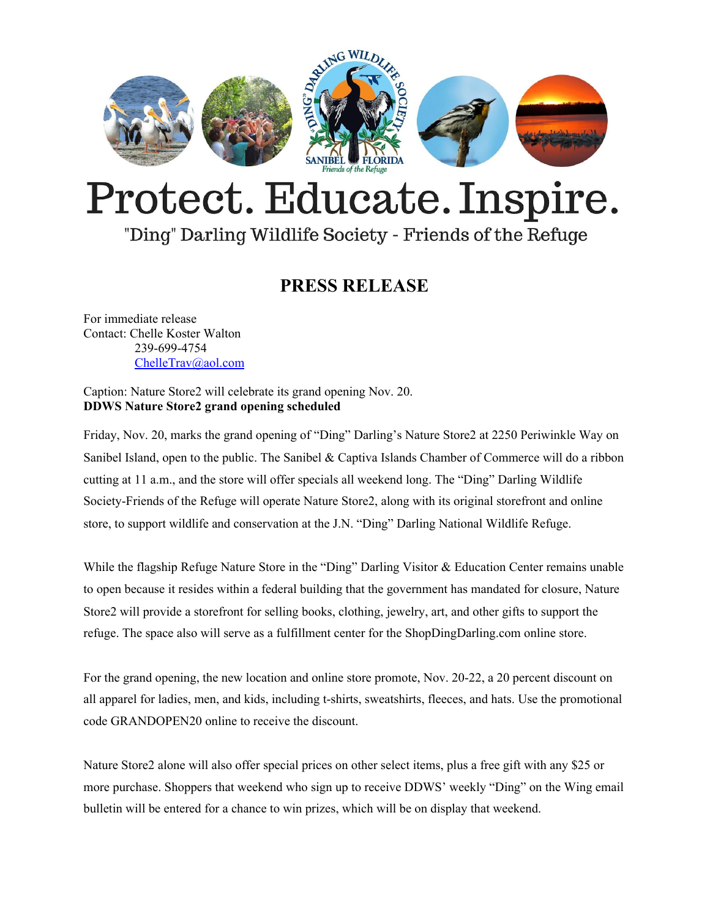

## Protect. Educate. Inspire.

## "Ding" Darling Wildlife Society - Friends of the Refuge

## **PRESS RELEASE**

For immediate release Contact: Chelle Koster Walton 239-699-4754 [ChelleTrav@aol.com](mailto:ChelleTrav@aol.com)

Caption: Nature Store2 will celebrate its grand opening Nov. 20. **DDWS Nature Store2 grand opening scheduled**

Friday, Nov. 20, marks the grand opening of "Ding" Darling's Nature Store2 at 2250 Periwinkle Way on Sanibel Island, open to the public. The Sanibel & Captiva Islands Chamber of Commerce will do a ribbon cutting at 11 a.m., and the store will offer specials all weekend long. The "Ding" Darling Wildlife Society-Friends of the Refuge will operate Nature Store2, along with its original storefront and online store, to support wildlife and conservation at the J.N. "Ding" Darling National Wildlife Refuge.

While the flagship Refuge Nature Store in the "Ding" Darling Visitor & Education Center remains unable to open because it resides within a federal building that the government has mandated for closure, Nature Store2 will provide a storefront for selling books, clothing, jewelry, art, and other gifts to support the refuge. The space also will serve as a fulfillment center for the [ShopDingDarling.com](http://r20.rs6.net/tn.jsp?f=001NulY31Y3mZq9gBHoYaOKjcjpabJOeI3yB1HGi3Rql49UCPDrWhKpG1VUI04A14kaXeECtpC6KgEjhBmqeWluRkvOQtqlb2FnqaLc7jT02-20_kgcoxyJQZrDx3-Izmf68eqKT5rYL49XFPwTo7edlqldADqqYuSoIyPrvnbbgmBK1YAYDR58Ug==&c=7N5lbH2CtSte7zUDxgQ5MnIR0CkvzB0Asa7VN1z5A5jyed-cNJHvng==&ch=spCwC85UeYK1AUFeTRgcVXFBh9Tmfc_fOugA6aaqdFmhRaQ-BpxBBA==) online store.

For the grand opening, the new location and online store promote, Nov. 20-22, a 20 percent discount on all apparel for ladies, men, and kids, including t-shirts, sweatshirts, fleeces, and hats. Use the promotional code GRANDOPEN20 online to receive the discount.

Nature Store2 alone will also offer special prices on other select items, plus a free gift with any \$25 or more purchase. Shoppers that weekend who sign up to receive DDWS' weekly "Ding" on the Wing email bulletin will be entered for a chance to win prizes, which will be on display that weekend.